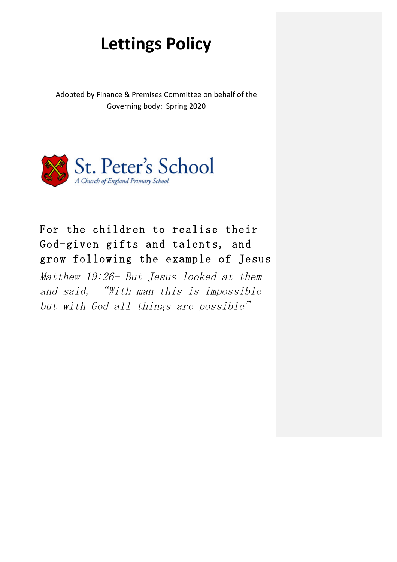# **Lettings Policy**

Adopted by Finance & Premises Committee on behalf of the Governing body: Spring 2020



# For the children to realise their God-given gifts and talents, and grow following the example of Jesus

Matthew 19:26- But Jesus looked at them and said, "With man this is impossible but with  $God$  all things are possible"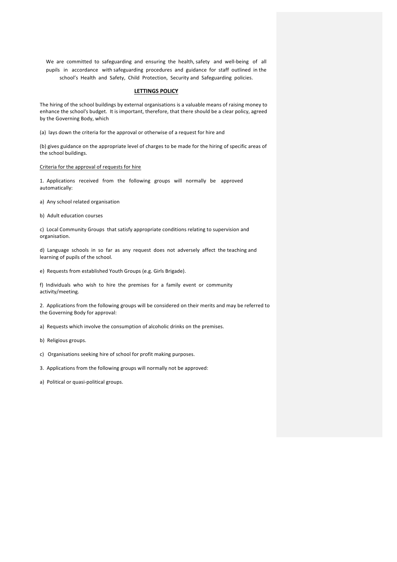We are committed to safeguarding and ensuring the health, safety and well-being of all pupils in accordance with safeguarding procedures and guidance for staff outlined in the school's Health and Safety, Child Protection, Security and Safeguarding policies.

# **LETTINGS POLICY**

The hiring of the school buildings by external organisations is a valuable means of raising money to enhance the school's budget. It is important, therefore, that there should be a clear policy, agreed by the Governing Body, which

(a) lays down the criteria for the approval or otherwise of a request for hire and

(b) gives guidance on the appropriate level of charges to be made for the hiring of specific areas of the school buildings.

Criteria for the approval of requests for hire

1. Applications received from the following groups will normally be approved automatically:

a) Any school related organisation

b) Adult education courses

c) Local Community Groups that satisfy appropriate conditions relating to supervision and organisation.

d) Language schools in so far as any request does not adversely affect the teaching and learning of pupils of the school.

e) Requests from established Youth Groups (e.g. Girls Brigade).

f) Individuals who wish to hire the premises for a family event or community activity/meeting.

2. Applications from the following groups will be considered on their merits and may be referred to the Governing Body for approval:

a) Requests which involve the consumption of alcoholic drinks on the premises.

b) Religious groups.

c) Organisations seeking hire of school for profit making purposes.

3. Applications from the following groups will normally not be approved:

a) Political or quasi-political groups.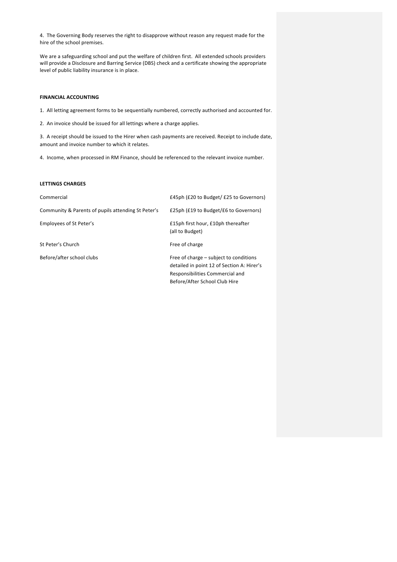4. The Governing Body reserves the right to disapprove without reason any request made for the hire of the school premises.

We are a safeguarding school and put the welfare of children first. All extended schools providers will provide a Disclosure and Barring Service (DBS) check and a certificate showing the appropriate level of public liability insurance is in place.

# **FINANCIAL ACCOUNTING**

1. All letting agreement forms to be sequentially numbered, correctly authorised and accounted for.

2. An invoice should be issued for all lettings where a charge applies.

3. A receipt should be issued to the Hirer when cash payments are received. Receipt to include date, amount and invoice number to which it relates.

4. Income, when processed in RM Finance, should be referenced to the relevant invoice number.

# **LETTINGS CHARGES**

| Commercial                                         | £45ph (£20 to Budget/ £25 to Governors)                                                                                                                  |
|----------------------------------------------------|----------------------------------------------------------------------------------------------------------------------------------------------------------|
| Community & Parents of pupils attending St Peter's | £25ph (£19 to Budget/£6 to Governors)                                                                                                                    |
| Employees of St Peter's                            | £15ph first hour, £10ph thereafter<br>(all to Budget)                                                                                                    |
| St Peter's Church                                  | Free of charge                                                                                                                                           |
| Before/after school clubs                          | Free of charge – subject to conditions<br>detailed in point 12 of Section A: Hirer's<br>Responsibilities Commercial and<br>Before/After School Club Hire |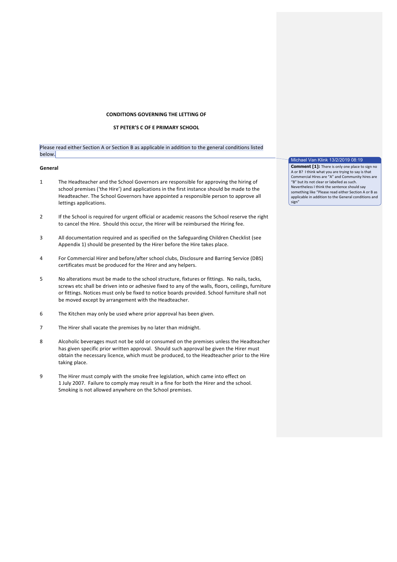# **CONDITIONS GOVERNING THE LETTING OF**

# **ST PETER'S C OF E PRIMARY SCHOOL**

Please read either Section A or Section B as applicable in addition to the general conditions listed below.

#### **General**

- 1 The Headteacher and the School Governors are responsible for approving the hiring of school premises ('the Hire') and applications in the first instance should be made to the Headteacher. The School Governors have appointed a responsible person to approve all lettings applications.
- 2 If the School is required for urgent official or academic reasons the School reserve the right to cancel the Hire. Should this occur, the Hirer will be reimbursed the Hiring fee.
- 3 All documentation required and as specified on the Safeguarding Children Checklist (see Appendix 1) should be presented by the Hirer before the Hire takes place.
- 4 For Commercial Hirer and before/after school clubs, Disclosure and Barring Service (DBS) certificates must be produced for the Hirer and any helpers.
- 5 No alterations must be made to the school structure, fixtures or fittings. No nails, tacks, screws etc shall be driven into or adhesive fixed to any of the walls, floors, ceilings, furniture or fittings. Notices must only be fixed to notice boards provided. School furniture shall not be moved except by arrangement with the Headteacher.
- 6 The Kitchen may only be used where prior approval has been given.
- 7 The Hirer shall vacate the premises by no later than midnight.
- 8 Alcoholic beverages must not be sold or consumed on the premises unless the Headteacher has given specific prior written approval. Should such approval be given the Hirer must obtain the necessary licence, which must be produced, to the Headteacher prior to the Hire taking place.
- 9 The Hirer must comply with the smoke free legislation, which came into effect on 1 July 2007. Failure to comply may result in a fine for both the Hirer and the school. Smoking is not allowed anywhere on the School premises.

Michael Van Klink 13/2/2019 08:19

**Comment [1]:** There is only one place to sign no A or B? I think what you are trying to say is that Commercial Hires are "A" and Community hires are The Communities is the community of the Community of the Community Nevertheless I think the sentence should say something like "Please read either Section A or B as applicable in addition to the General conditions and sign"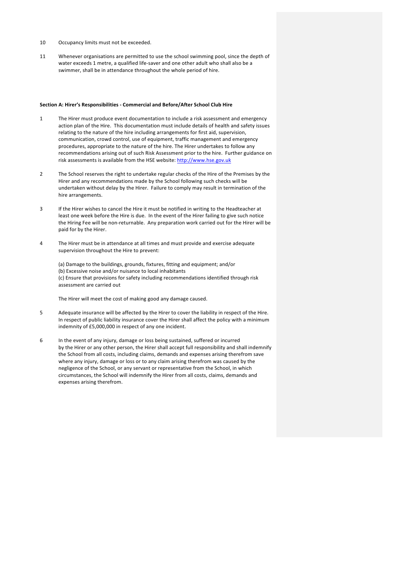- 10 Occupancy limits must not be exceeded.
- 11 Whenever organisations are permitted to use the school swimming pool, since the depth of water exceeds 1 metre, a qualified life-saver and one other adult who shall also be a swimmer, shall be in attendance throughout the whole period of hire.

#### **Section A: Hirer's Responsibilities - Commercial and Before/After School Club Hire**

- 1 The Hirer must produce event documentation to include a risk assessment and emergency action plan of the Hire. This documentation must include details of health and safety issues relating to the nature of the hire including arrangements for first aid, supervision, communication, crowd control, use of equipment, traffic management and emergency procedures, appropriate to the nature of the hire. The Hirer undertakes to follow any recommendations arising out of such Risk Assessment prior to the hire. Further guidance on risk assessments is available from the HSE website: http://www.hse.gov.uk
- 2 The School reserves the right to undertake regular checks of the Hire of the Premises by the Hirer and any recommendations made by the School following such checks will be undertaken without delay by the Hirer. Failure to comply may result in termination of the hire arrangements.
- 3 If the Hirer wishes to cancel the Hire it must be notified in writing to the Headteacher at least one week before the Hire is due. In the event of the Hirer failing to give such notice the Hiring Fee will be non-returnable. Any preparation work carried out for the Hirer will be paid for by the Hirer.
- 4 The Hirer must be in attendance at all times and must provide and exercise adequate supervision throughout the Hire to prevent:

(a) Damage to the buildings, grounds, fixtures, fitting and equipment; and/or (b) Excessive noise and/or nuisance to local inhabitants (c) Ensure that provisions for safety including recommendations identified through risk assessment are carried out

The Hirer will meet the cost of making good any damage caused.

- 5 Adequate insurance will be affected by the Hirer to cover the liability in respect of the Hire. In respect of public liability insurance cover the Hirer shall affect the policy with a minimum indemnity of £5,000,000 in respect of any one incident.
- 6 In the event of any injury, damage or loss being sustained, suffered or incurred by the Hirer or any other person, the Hirer shall accept full responsibility and shall indemnify the School from all costs, including claims, demands and expenses arising therefrom save where any injury, damage or loss or to any claim arising therefrom was caused by the negligence of the School, or any servant or representative from the School, in which circumstances, the School will indemnify the Hirer from all costs, claims, demands and expenses arising therefrom.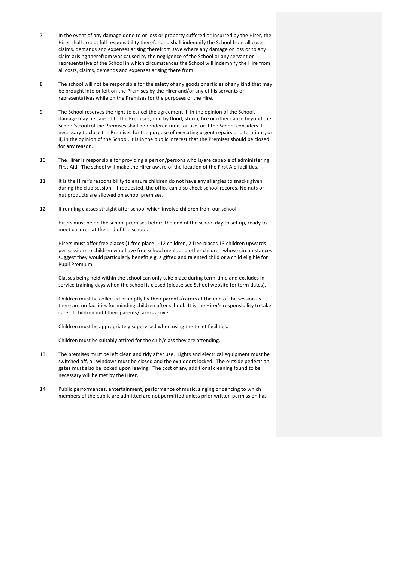- 7 In the event of any damage done to or loss or property suffered or incurred by the Hirer, the Hirer shall accept full responsibility therefor and shall indemnify the School from all costs, claims, demands and expenses arising therefrom save where any damage or loss or to any claim arising therefrom was caused by the negligence of the School or any servant or representative of the School in which circumstances the School will indemnify the Hire from all costs, claims, demands and expenses arising there from.
- 8 The school will not be responsible for the safety of any goods or articles of any kind that may be brought into or left on the Premises by the Hirer and/or any of his servants or representatives while on the Premises for the purposes of the Hire.
- 9 The School reserves the right to cancel the agreement if, in the opinion of the School, damage may be caused to the Premises; or if by flood, storm, fire or other cause beyond the School's control the Premises shall be rendered unfit for use; or if the School considers it necessary to close the Premises for the purpose of executing urgent repairs or alterations; or if, in the opinion of the School, it is in the public interest that the Premises should be closed for any reason.
- 10 The Hirer is responsible for providing a person/persons who is/are capable of administering First Aid. The school will make the Hirer aware of the location of the First Aid facilities.
- 11 It is the Hirer's responsibility to ensure children do not have any allergies to snacks given during the club session. If requested, the office can also check school records. No nuts or nut products are allowed on school premises.
- 12 If running classes straight after school which involve children from our school:

Hirers must be on the school premises before the end of the school day to set up, ready to meet children at the end of the school.

Hirers must offer free places (1 free place 1-12 children, 2 free places 13 children upwards per session) to children who have free school meals and other children whose circumstances suggest they would particularly benefit e.g. a gifted and talented child or a child eligible for Pupil Premium.

Classes being held within the school can only take place during term-time and excludes inservice training days when the school is closed (please see School website for term dates).

Children must be collected promptly by their parents/carers at the end of the session as there are no facilities for minding children after school. It is the Hirer's responsibility to take care of children until their parents/carers arrive.

Children must be appropriately supervised when using the toilet facilities.

Children must be suitably attired for the club/class they are attending.

- 13 The premises must be left clean and tidy after use. Lights and electrical equipment must be switched off, all windows must be closed and the exit doors locked. The outside pedestrian gates must also be locked upon leaving. The cost of any additional cleaning found to be necessary will be met by the Hirer.
- 14 Public performances, entertainment, performance of music, singing or dancing to which members of the public are admitted are not permitted unless prior written permission has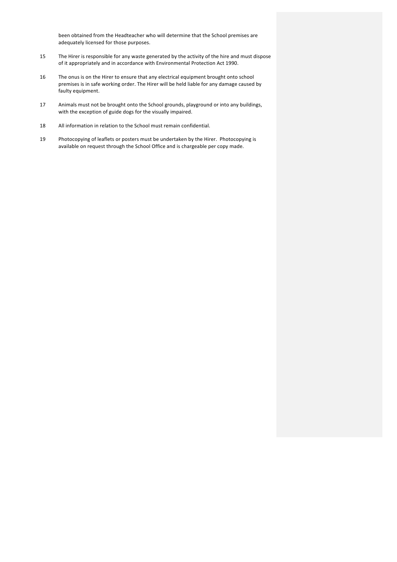been obtained from the Headteacher who will determine that the School premises are adequately licensed for those purposes.

- 15 The Hirer is responsible for any waste generated by the activity of the hire and must dispose of it appropriately and in accordance with Environmental Protection Act 1990.
- 16 The onus is on the Hirer to ensure that any electrical equipment brought onto school premises is in safe working order. The Hirer will be held liable for any damage caused by faulty equipment.
- 17 Animals must not be brought onto the School grounds, playground or into any buildings, with the exception of guide dogs for the visually impaired.
- 18 All information in relation to the School must remain confidential.
- 19 Photocopying of leaflets or posters must be undertaken by the Hirer. Photocopying is available on request through the School Office and is chargeable per copy made.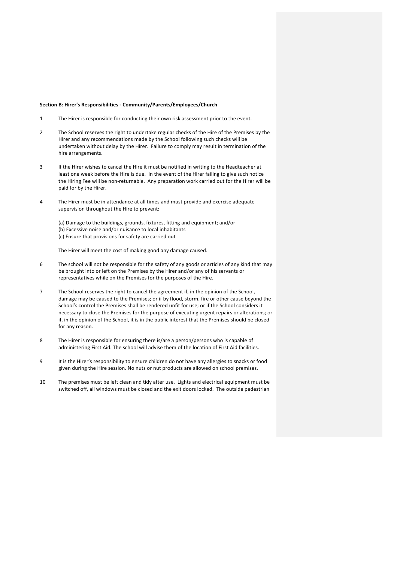#### **Section B: Hirer's Responsibilities - Community/Parents/Employees/Church**

- 1 The Hirer is responsible for conducting their own risk assessment prior to the event.
- 2 The School reserves the right to undertake regular checks of the Hire of the Premises by the Hirer and any recommendations made by the School following such checks will be undertaken without delay by the Hirer. Failure to comply may result in termination of the hire arrangements.
- 3 If the Hirer wishes to cancel the Hire it must be notified in writing to the Headteacher at least one week before the Hire is due. In the event of the Hirer failing to give such notice the Hiring Fee will be non-returnable. Any preparation work carried out for the Hirer will be paid for by the Hirer.
- 4 The Hirer must be in attendance at all times and must provide and exercise adequate supervision throughout the Hire to prevent:
	- (a) Damage to the buildings, grounds, fixtures, fitting and equipment; and/or (b) Excessive noise and/or nuisance to local inhabitants (c) Ensure that provisions for safety are carried out

The Hirer will meet the cost of making good any damage caused.

- 6 The school will not be responsible for the safety of any goods or articles of any kind that may be brought into or left on the Premises by the Hirer and/or any of his servants or representatives while on the Premises for the purposes of the Hire.
- 7 The School reserves the right to cancel the agreement if, in the opinion of the School, damage may be caused to the Premises; or if by flood, storm, fire or other cause beyond the School's control the Premises shall be rendered unfit for use; or if the School considers it necessary to close the Premises for the purpose of executing urgent repairs or alterations; or if, in the opinion of the School, it is in the public interest that the Premises should be closed for any reason.
- 8 The Hirer is responsible for ensuring there is/are a person/persons who is capable of administering First Aid. The school will advise them of the location of First Aid facilities.
- 9 It is the Hirer's responsibility to ensure children do not have any allergies to snacks or food given during the Hire session. No nuts or nut products are allowed on school premises.
- 10 The premises must be left clean and tidy after use. Lights and electrical equipment must be switched off, all windows must be closed and the exit doors locked. The outside pedestrian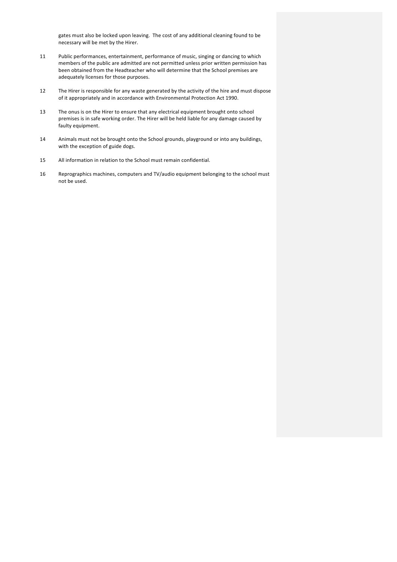gates must also be locked upon leaving. The cost of any additional cleaning found to be necessary will be met by the Hirer.

- 11 Public performances, entertainment, performance of music, singing or dancing to which members of the public are admitted are not permitted unless prior written permission has been obtained from the Headteacher who will determine that the School premises are adequately licenses for those purposes.
- 12 The Hirer is responsible for any waste generated by the activity of the hire and must dispose of it appropriately and in accordance with Environmental Protection Act 1990.
- 13 The onus is on the Hirer to ensure that any electrical equipment brought onto school premises is in safe working order. The Hirer will be held liable for any damage caused by faulty equipment.
- 14 Animals must not be brought onto the School grounds, playground or into any buildings, with the exception of guide dogs.
- 15 All information in relation to the School must remain confidential.
- 16 Reprographics machines, computers and TV/audio equipment belonging to the school must not be used.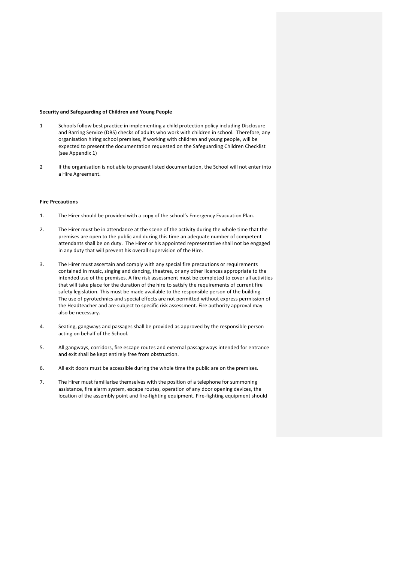#### **Security and Safeguarding of Children and Young People**

- 1 Schools follow best practice in implementing a child protection policy including Disclosure and Barring Service (DBS) checks of adults who work with children in school. Therefore, any organisation hiring school premises, if working with children and young people, will be expected to present the documentation requested on the Safeguarding Children Checklist (see Appendix 1)
- 2 If the organisation is not able to present listed documentation, the School will not enter into a Hire Agreement.

#### **Fire Precautions**

- 1. The Hirer should be provided with a copy of the school's Emergency Evacuation Plan.
- 2. The Hirer must be in attendance at the scene of the activity during the whole time that the premises are open to the public and during this time an adequate number of competent attendants shall be on duty. The Hirer or his appointed representative shall not be engaged in any duty that will prevent his overall supervision of the Hire.
- 3. The Hirer must ascertain and comply with any special fire precautions or requirements contained in music, singing and dancing, theatres, or any other licences appropriate to the intended use of the premises. A fire risk assessment must be completed to cover all activities that will take place for the duration of the hire to satisfy the requirements of current fire safety legislation. This must be made available to the responsible person of the building. The use of pyrotechnics and special effects are not permitted without express permission of the Headteacher and are subject to specific risk assessment. Fire authority approval may also be necessary.
- 4. Seating, gangways and passages shall be provided as approved by the responsible person acting on behalf of the School.
- 5. All gangways, corridors, fire escape routes and external passageways intended for entrance and exit shall be kept entirely free from obstruction.
- 6. All exit doors must be accessible during the whole time the public are on the premises.
- 7. The Hirer must familiarise themselves with the position of a telephone for summoning assistance, fire alarm system, escape routes, operation of any door opening devices, the location of the assembly point and fire-fighting equipment. Fire-fighting equipment should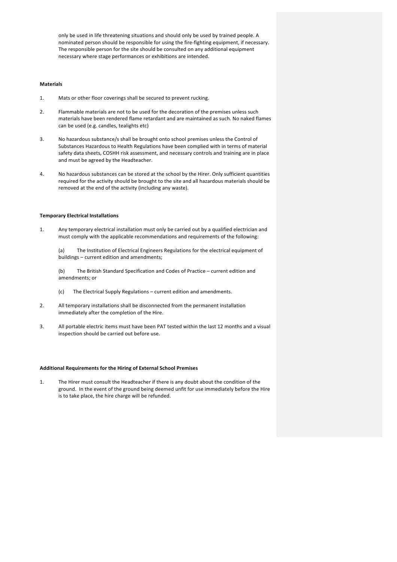only be used in life threatening situations and should only be used by trained people. A nominated person should be responsible for using the fire-fighting equipment, if necessary. The responsible person for the site should be consulted on any additional equipment necessary where stage performances or exhibitions are intended.

# **Materials**

- 1. Mats or other floor coverings shall be secured to prevent rucking.
- 2. Flammable materials are not to be used for the decoration of the premises unless such materials have been rendered flame retardant and are maintained as such. No naked flames can be used (e.g. candles, tealights etc)
- 3. No hazardous substance/s shall be brought onto school premises unless the Control of Substances Hazardous to Health Regulations have been complied with in terms of material safety data sheets, COSHH risk assessment, and necessary controls and training are in place and must be agreed by the Headteacher.
- 4. No hazardous substances can be stored at the school by the Hirer. Only sufficient quantities required for the activity should be brought to the site and all hazardous materials should be removed at the end of the activity (including any waste).

# **Temporary Electrical Installations**

1. Any temporary electrical installation must only be carried out by a qualified electrician and must comply with the applicable recommendations and requirements of the following:

(a) The Institution of Electrical Engineers Regulations for the electrical equipment of buildings - current edition and amendments;

(b) The British Standard Specification and Codes of Practice – current edition and amendments; or

- (c) The Electrical Supply Regulations current edition and amendments.
- 2. All temporary installations shall be disconnected from the permanent installation immediately after the completion of the Hire.
- 3. All portable electric items must have been PAT tested within the last 12 months and a visual inspection should be carried out before use.

## **Additional Requirements for the Hiring of External School Premises**

1. The Hirer must consult the Headteacher if there is any doubt about the condition of the ground. In the event of the ground being deemed unfit for use immediately before the Hire is to take place, the hire charge will be refunded.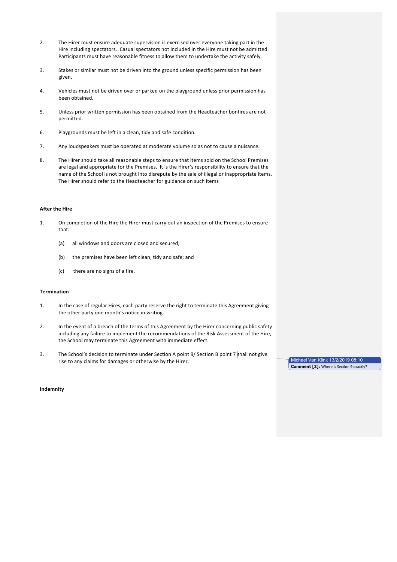- 2. The Hirer must ensure adequate supervision is exercised over everyone taking part in the Hire including spectators. Casual spectators not included in the Hire must not be admitted. Participants must have reasonable fitness to allow them to undertake the activity safely.
- 3. Stakes or similar must not be driven into the ground unless specific permission has been given.
- 4. Vehicles must not be driven over or parked on the playground unless prior permission has been obtained.
- 5. Unless prior written permission has been obtained from the Headteacher bonfires are not permitted.
- 6. Playgrounds must be left in a clean, tidy and safe condition.
- 7. Any loudspeakers must be operated at moderate volume so as not to cause a nuisance.
- 8. The Hirer should take all reasonable steps to ensure that items sold on the School Premises are legal and appropriate for the Premises. It is the Hirer's responsibility to ensure that the name of the School is not brought into disrepute by the sale of illegal or inappropriate items. The Hirer should refer to the Headteacher for guidance on such items

# **After the Hire**

- 1. On completion of the Hire the Hirer must carry out an inspection of the Premises to ensure that:
	- (a) all windows and doors are closed and secured;
	- (b) the premises have been left clean, tidy and safe; and
	- (c) there are no signs of a fire.

#### **Termination**

- 1. In the case of regular Hires, each party reserve the right to terminate this Agreement giving the other party one month's notice in writing.
- 2. In the event of a breach of the terms of this Agreement by the Hirer concerning public safety including any failure to implement the recommendations of the Risk Assessment of the Hire, the School may terminate this Agreement with immediate effect.
- 3. The School's decision to terminate under Section A point 9/ Section B point 7 shall not give rise to any claims for damages or otherwise by the Hirer.

Michael Van Klink 13/2/2019 08:10 **Comment [2]:** Where is Section 9 exactly?

#### **Indemnity**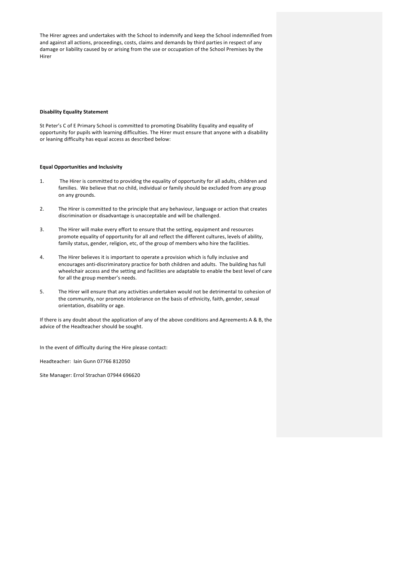The Hirer agrees and undertakes with the School to indemnify and keep the School indemnified from and against all actions, proceedings, costs, claims and demands by third parties in respect of any damage or liability caused by or arising from the use or occupation of the School Premises by the Hirer 

## **Disability Equality Statement**

St Peter's C of E Primary School is committed to promoting Disability Equality and equality of opportunity for pupils with learning difficulties. The Hirer must ensure that anyone with a disability or leaning difficulty has equal access as described below:

#### **Equal Opportunities and Inclusivity**

- 1. The Hirer is committed to providing the equality of opportunity for all adults, children and families. We believe that no child, individual or family should be excluded from any group on any grounds.
- 2. The Hirer is committed to the principle that any behaviour, language or action that creates discrimination or disadvantage is unacceptable and will be challenged.
- 3. The Hirer will make every effort to ensure that the setting, equipment and resources promote equality of opportunity for all and reflect the different cultures, levels of ability, family status, gender, religion, etc, of the group of members who hire the facilities.
- 4. The Hirer believes it is important to operate a provision which is fully inclusive and encourages anti-discriminatory practice for both children and adults. The building has full wheelchair access and the setting and facilities are adaptable to enable the best level of care for all the group member's needs.
- 5. The Hirer will ensure that any activities undertaken would not be detrimental to cohesion of the community, nor promote intolerance on the basis of ethnicity, faith, gender, sexual orientation, disability or age.

If there is any doubt about the application of any of the above conditions and Agreements A & B, the advice of the Headteacher should be sought.

In the event of difficulty during the Hire please contact:

Headteacher: Iain Gunn 07766 812050

Site Manager: Errol Strachan 07944 696620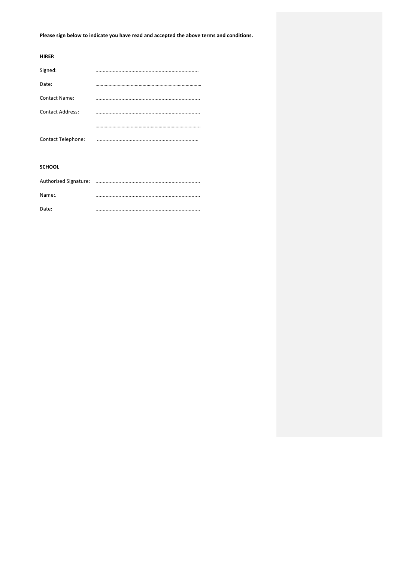Please sign below to indicate you have read and accepted the above terms and conditions.

| <b>HIRER</b>              |  |
|---------------------------|--|
| Signed:                   |  |
| Date:                     |  |
| <b>Contact Name:</b>      |  |
| <b>Contact Address:</b>   |  |
|                           |  |
| <b>Contact Telephone:</b> |  |
|                           |  |
| <b>SCHOOL</b>             |  |
|                           |  |

| Name:. |  |
|--------|--|
| Date:  |  |